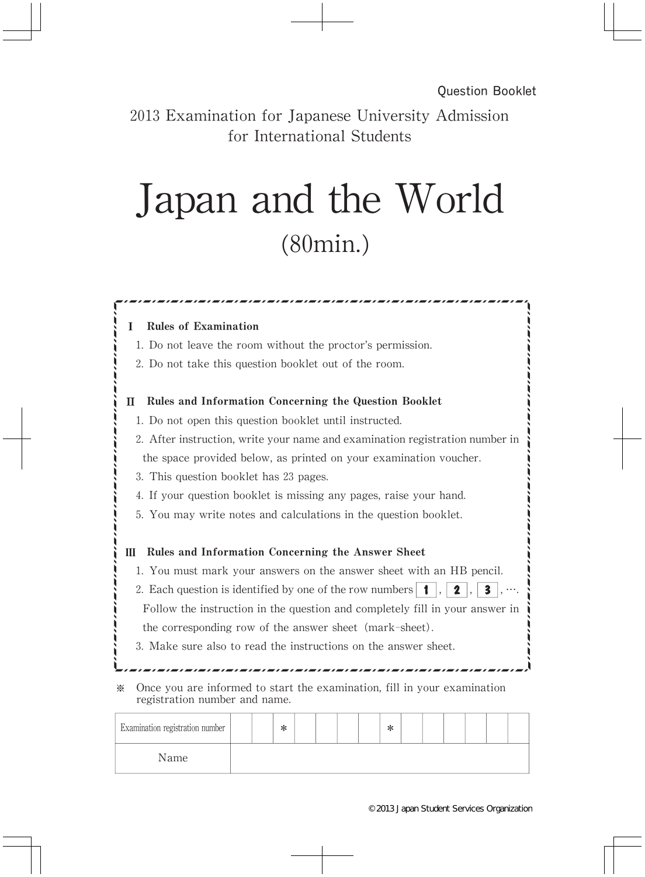2013 Examination for Japanese University Admission for International Students

## Japan and the World (80min.)

| 1. Do not leave the room without the proctor's permission.                                                        |                                                                              |  |  |  |  |  |
|-------------------------------------------------------------------------------------------------------------------|------------------------------------------------------------------------------|--|--|--|--|--|
|                                                                                                                   | 2. Do not take this question booklet out of the room.                        |  |  |  |  |  |
| П                                                                                                                 | Rules and Information Concerning the Question Booklet                        |  |  |  |  |  |
|                                                                                                                   | 1. Do not open this question booklet until instructed.                       |  |  |  |  |  |
|                                                                                                                   | 2. After instruction, write your name and examination registration number in |  |  |  |  |  |
|                                                                                                                   | the space provided below, as printed on your examination voucher.            |  |  |  |  |  |
| 3. This question booklet has 23 pages.                                                                            |                                                                              |  |  |  |  |  |
|                                                                                                                   | 4. If your question booklet is missing any pages, raise your hand.           |  |  |  |  |  |
|                                                                                                                   | 5. You may write notes and calculations in the question booklet.             |  |  |  |  |  |
|                                                                                                                   |                                                                              |  |  |  |  |  |
| Ш                                                                                                                 | Rules and Information Concerning the Answer Sheet                            |  |  |  |  |  |
| 1. You must mark your answers on the answer sheet with an HB pencil.                                              |                                                                              |  |  |  |  |  |
| 2. Each question is identified by one of the row numbers $  \cdot  $ ,<br>$\overline{\mathbf{3}}$<br>$\mathbf{2}$ |                                                                              |  |  |  |  |  |
| Follow the instruction in the question and completely fill in your answer in                                      |                                                                              |  |  |  |  |  |
|                                                                                                                   | the corresponding row of the answer sheet (mark-sheet).                      |  |  |  |  |  |
|                                                                                                                   | 3. Make sure also to read the instructions on the answer sheet.              |  |  |  |  |  |
|                                                                                                                   |                                                                              |  |  |  |  |  |
| ☀                                                                                                                 | Once you are informed to start the examination, fill in your examination     |  |  |  |  |  |

Name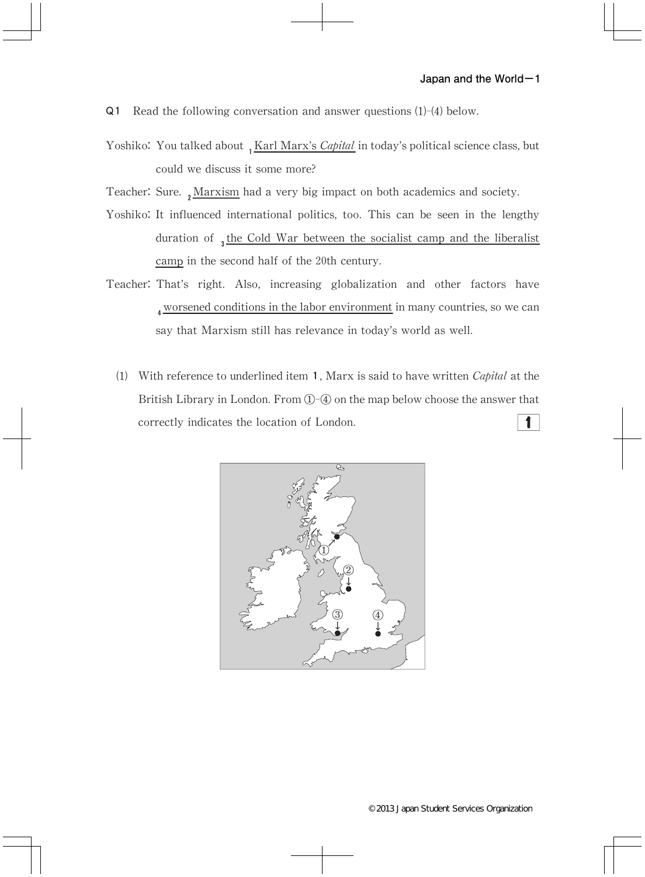- Q1 Read the following conversation and answer questions (1)-(4) below.
- Yoshiko: You talked about 1 Karl Marx's Capital in today's political science class, but could we discuss it some more?
- Teacher: Sure.  $\sqrt{Marsism}$  had a very big impact on both academics and society.
- Yoshiko: It influenced international politics, too. This can be seen in the lengthy duration of  $_3$  the Cold War between the socialist camp and the liberalist camp in the second half of the 20th century.
- Teacher: That's right. Also, increasing globalization and other factors have worsened conditions in the labor environment in many countries, so we can say that Marxism still has relevance in today's world as well.
	- (1) With reference to underlined item 1, Marx is said to have written *Capital* at the British Library in London. From  $\mathbb{O}$ - $\mathbb Q$  on the map below choose the answer that correctly indicates the location of London.  $\mathbf{1}$

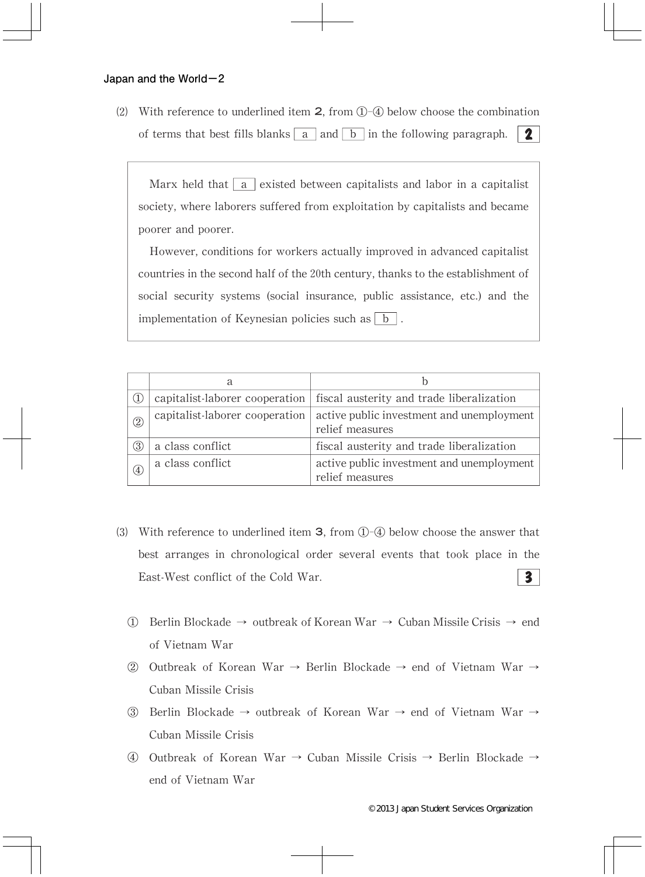(2) With reference to underlined item  $2$ , from  $(1)$ - $(4)$  below choose the combination of terms that best fills blanks  $\boxed{a}$  and  $\boxed{b}$  in the following paragraph.  $\boxed{2}$ 

Marx held that  $\boxed{a}$  existed between capitalists and labor in a capitalist society, where laborers suffered from exploitation by capitalists and became poorer and poorer.

However, conditions for workers actually improved in advanced capitalist countries in the second half of the 20th century, thanks to the establishment of social security systems (social insurance, public assistance, etc.) and the implementation of Keynesian policies such as  $\boxed{b}$ .

|               | a                              |                                                                            |
|---------------|--------------------------------|----------------------------------------------------------------------------|
|               |                                | capitalist-laborer cooperation   fiscal austerity and trade liberalization |
| $\circled{2}$ | capitalist-laborer cooperation | active public investment and unemployment<br>relief measures               |
| 3             | a class conflict               | fiscal austerity and trade liberalization                                  |
| (4)           | a class conflict               | active public investment and unemployment<br>relief measures               |

- (3) With reference to underlined item **3**, from  $\mathbb{O}$ - $\mathbb{Q}$  below choose the answer that best arranges in chronological order several events that took place in the East-West conflict of the Cold War.  $\overline{\mathbf{3}}$ 
	- ① Berlin Blockade→ outbreak of Korean War→ Cuban Missile Crisis→ end of Vietnam War
	- ② Outbreak of Korean War→ Berlin Blockade→ end of Vietnam War→ Cuban Missile Crisis
	- ③ Berlin Blockade→ outbreak of Korean War→ end of Vietnam War→ Cuban Missile Crisis
	- ④ Outbreak of Korean War→ Cuban Missile Crisis→ Berlin Blockade→ end of Vietnam War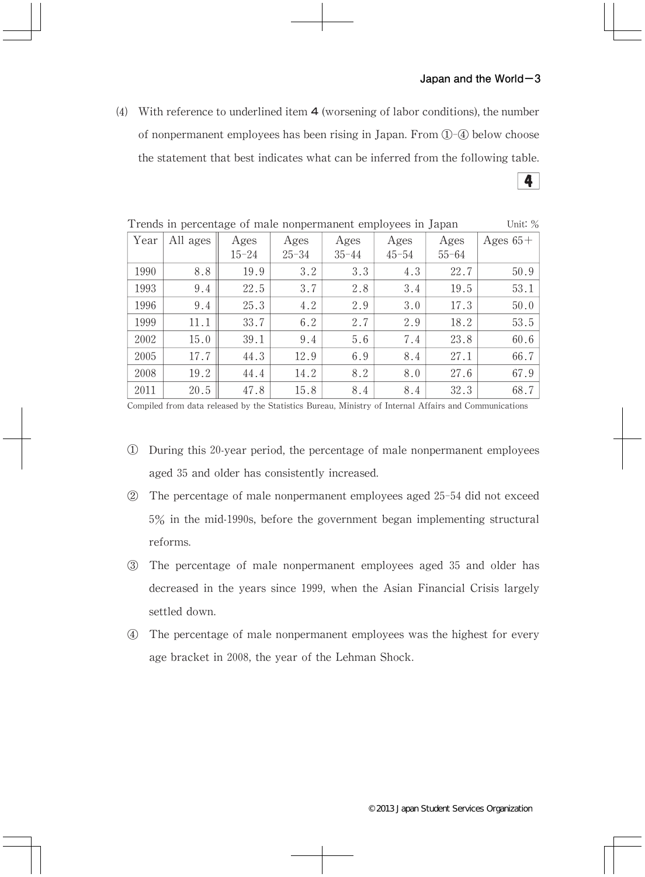(4) With reference to underlined item  $\bf{4}$  (worsening of labor conditions), the number of nonpermanent employees has been rising in Japan. From  $(1)$ - $(4)$  below choose the statement that best indicates what can be inferred from the following table.  $\sim$ 

| Trends in percentage of male nonpermanent employees in Japan<br>Unit: $\%$ |          |           |           |           |           |           |            |  |
|----------------------------------------------------------------------------|----------|-----------|-----------|-----------|-----------|-----------|------------|--|
| Year                                                                       | All ages | Ages      | Ages      | Ages      | Ages      | Ages      | Ages $65+$ |  |
|                                                                            |          | $15 - 24$ | $25 - 34$ | $35 - 44$ | $45 - 54$ | $55 - 64$ |            |  |
| 1990                                                                       | 8.8      | 19.9      | 3.2       | 3.3       | 4.3       | 22.7      | 50.9       |  |
| 1993                                                                       | 9.4      | 22.5      | 3.7       | 2.8       | 3.4       | 19.5      | 53.1       |  |
| 1996                                                                       | 9.4      | 25.3      | 4.2       | 2.9       | 3.0       | 17.3      | 50.0       |  |
| 1999                                                                       | 11.1     | 33.7      | 6.2       | 2.7       | 2.9       | 18.2      | 53.5       |  |
| 2002                                                                       | 15.0     | 39.1      | 9.4       | 5.6       | 7.4       | 23.8      | 60.6       |  |
| 2005                                                                       | 17.7     | 44.3      | 12.9      | 6.9       | 8.4       | 27.1      | 66.7       |  |
| 2008                                                                       | 19.2     | 44.4      | 14.2      | 8.2       | 8.0       | 27.6      | 67.9       |  |
| 2011                                                                       | 20.5     | 47.8      | 15.8      | 8.4       | 8.4       | 32.3      | 68.7       |  |

Compiled from data released by the Statistics Bureau, Ministry of Internal Affairs and Communications

- ① During this20-year period,the percentage of male nonpermanent employees aged 35 and older has consistently increased.
- ② The percentage of male nonpermanent employees aged 25-54 did not exceed  $5\%$  in the mid-1990s, before the government began implementing structural reforms.
- ③ The percentage of male nonpermanent employees aged 35 and older has decreased in the years since 1999, when the Asian Financial Crisis largely settled down.
- ④ The percentage of male nonpermanent employees was the highest for every age bracket in 2008, the year of the Lehman Shock.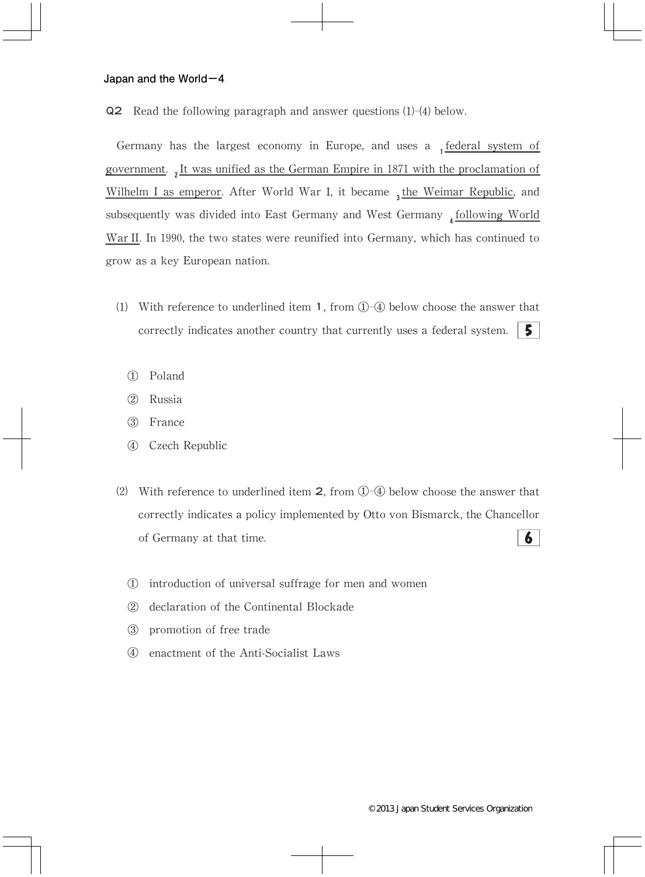Q2 Read the following paragraph and answer questions (1)-(4) below.

Germany has the largest economy in Europe, and uses a  $_1$  federal system of government., It was unified as the German Empire in 1871 with the proclamation of Wilhelm I as emperor. After World War I, it became  $_3$  the Weimar Republic, and subsequently was divided into East Germany and West Germany  $_4$  following World War II. In 1990, the two states were reunified into Germany, which has continued to grow as a key European nation.

- (1) With reference to underlined item 1, from  $(1)$ - $(4)$  below choose the answer that correctly indicates another country that currently uses a federal system. 5.
	- ① Poland
	- ② Russia
	- ③ France
	- ④ Czech Republic
- (2) With reference to underlined item  $2$ , from  $\overline{0}$ - $\overline{4}$  below choose the answer that correctly indicates a policy implemented by Otto von Bismarck, the Chancellor  $\boldsymbol{6}$ of Germany at that time.
	- ① introduction of universal suffrage for men and women
	- ② declaration of the Continental Blockade
	- ③ promotion of free trade
	- ④ enactment of the Anti-Socialist Laws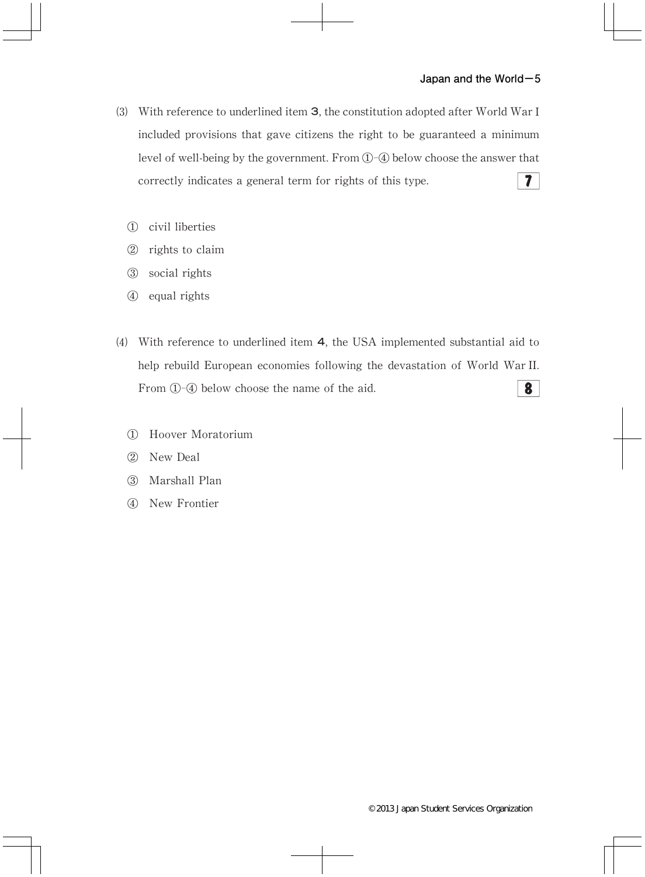- (3) With reference to underlined item 3, the constitution adopted after World War I included provisions that gave citizens the right to be guaranteed a minimum level of well-being by the government. From  $(1)$ - $(4)$  below choose the answer that correctly indicates a general term for rights of this type.  $7<sup>1</sup>$ 
	- ① civil liberties
	- ② rights to claim
	- ③ social rights
	- ④ equal rights
- ⑷ With reference to underlined item 4,the USA implemented substantial aid to help rebuild European economies following the devastation of World War II. From  $(1)$ - $(4)$  below choose the name of the aid.  $\boldsymbol{8}$ 
	- ① Hoover Moratorium
	- ② New Deal
	- ③ Marshall Plan
	- ④ New Frontier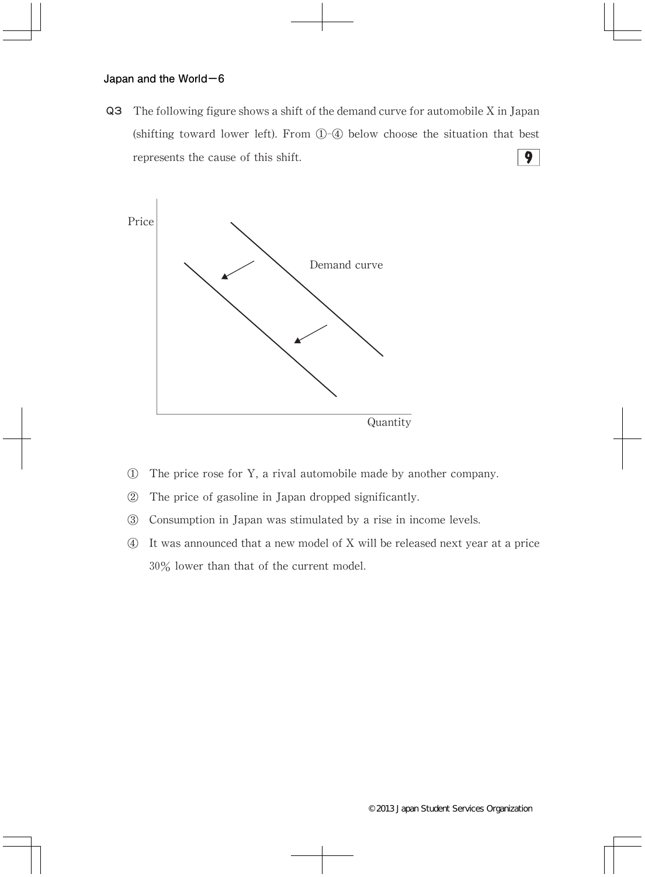Q3 The following figure shows a shift of the demand curve for automobile X in Japan (shifting toward lower left). From  $(1)$ - $(4)$  below choose the situation that best represents the cause of this shift.  $\overline{9}$ 



- $\Phi$  The price rose for Y, a rival automobile made by another company.
- ② The price of gasoline in Japan dropped significantly.
- ③ Consumption in Japan was stimulated by a rise in income levels.
- ④ It was announced that a new model of X will be released next year at a price 30% lower than that of the current model.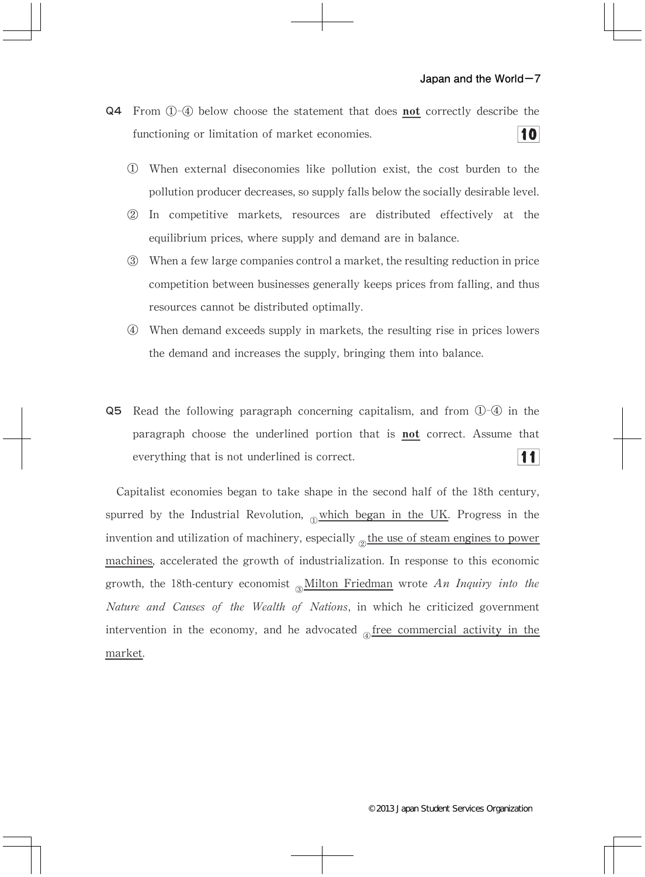- Q4 From 1-4 below choose the statement that does not correctly describe the 10 functioning or limitation of market economies.
	- ① When external diseconomies like pollution exist,the cost burden to the pollution producer decreases, so supply falls below the socially desirable level.
	- ② In competitive markets, resources are distributed effectively at the equilibrium prices, where supply and demand are in balance.
	- 3 When a few large companies control a market, the resulting reduction in price competition between businesses generally keeps prices from falling, and thus resources cannot be distributed optimally.
	- ④ When demand exceeds supply in markets,the resulting rise in prices lowers the demand and increases the supply, bringing them into balance.
- **Q5** Read the following paragraph concerning capitalism, and from  $\overline{Q}$ - $\overline{Q}$  in the paragraph choose the underlined portion that is not correct. Assume that  $11$ everything that is not underlined is correct.

Capitalist economies began to take shape in the second half of the 18th century, spurred by the Industrial Revolution,  $\delta$  which began in the UK. Progress in the invention and utilization of machinery, especially  $_{\odot}$  the use of steam engines to power machines, accelerated the growth of industrialization. In response to this economic growth, the 18th-century economist  $\delta M$ ilton Friedman wrote An Inquiry into the Nature and Causes of the Wealth of Nations, in which he criticized government intervention in the economy, and he advocated  $_{\text{A}}$  free commercial activity in the market.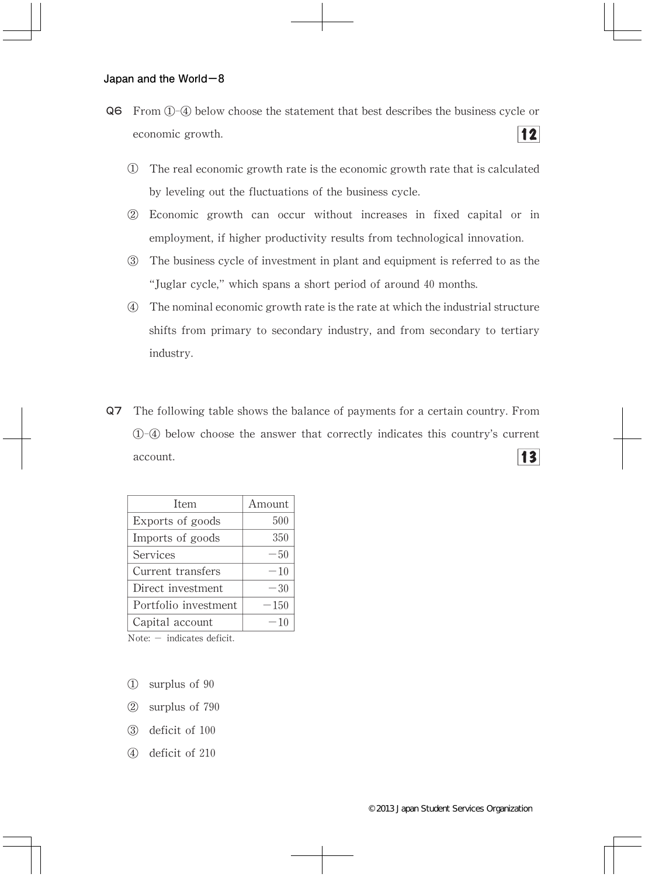- Q6 From ①-④ below choose the statement that best describes the business cycle or  $12$ economic growth.
	- ① The real economic growth rate is the economic growth rate that is calculated by leveling out the fluctuations of the business cycle.
	- ② Economic growth can occur without increases in fixed capital or in employment, if higher productivity results from technological innovation.
	- ③ The business cycle of investment in plant and equipment is referred to as the "Juglar cycle,"which spans a short period of around 40 months.
	- ④ The nominal economic growth rate is the rate at which the industrial structure shifts from primary to secondary industry, and from secondary to tertiary industry.
- Q7 The following table shows the balance of payments for a certain country.From ①-④ below choose the answer that correctly indicates this country's current  $13$ account.

| Item                   | Amount |
|------------------------|--------|
| Exports of goods       | 500    |
| Imports of goods       | 350    |
| Services               | $-50$  |
| Current transfers      | $-10$  |
| Direct investment      | $-30$  |
| Portfolio investment   | $-150$ |
| Capital account        | $-10$  |
| Mata indicates deficit |        |

 $Note: - indicates deficit.$ 

- ① surplus of 90
- ② surplus of 790
- ③ deficit of 100
- ④ deficit of 210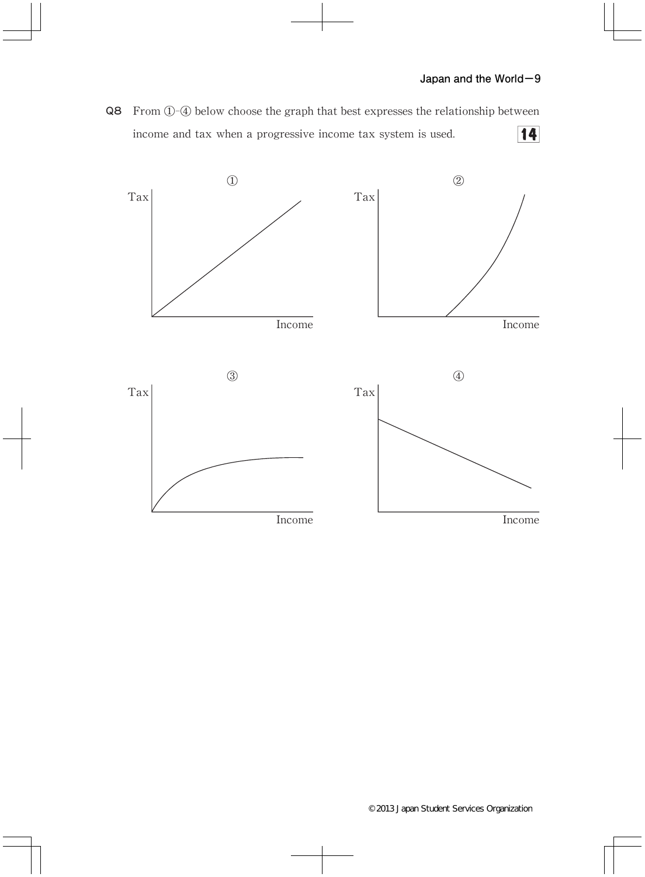Q8 From ①-④ below choose the graph that best expresses the relationship between  $14$ income and tax when a progressive income tax system is used.

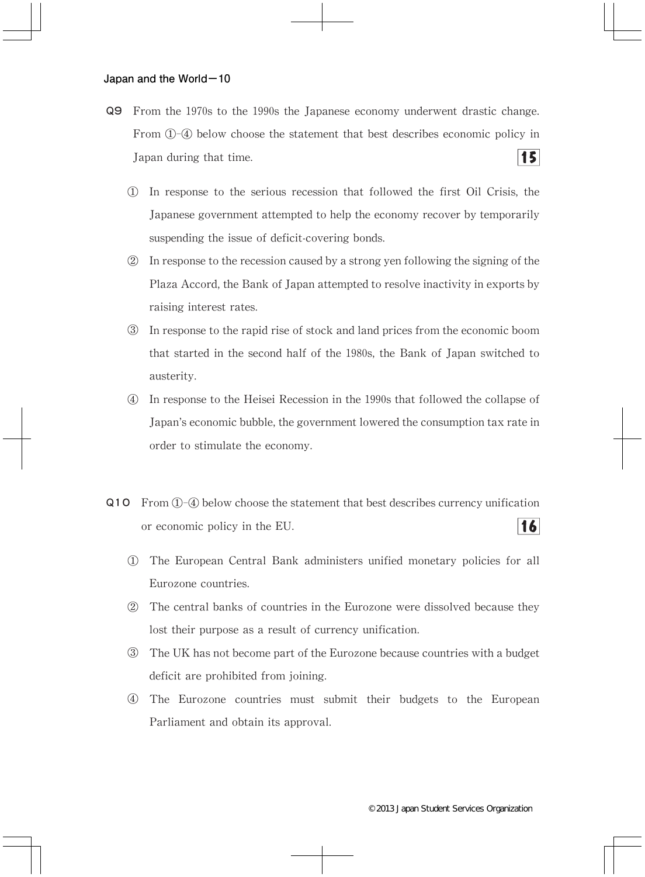- Q9 From the 1970s to the 1990s the Japanese economy underwent drastic change. From ①-④ below choose the statement that best describes economic policy in  $15<sup>1</sup>$ Japan during that time.
	- ① In response to the serious recession that followed the first Oil Crisis,the Japanese government attempted to help the economy recover by temporarily suspending the issue of deficit-covering bonds.
	- ② In response to the recession caused by a strong yen following the signing of the Plaza Accord, the Bank of Japan attempted to resolve inactivity in exports by raising interest rates.
	- ③ In response to the rapid rise of stock and land prices from the economic boom that started in the second half of the 1980s, the Bank of Japan switched to austerity.
	- ④ In response to the Heisei Recession in the 1990s that followed the collapse of Japan's economic bubble, the government lowered the consumption tax rate in order to stimulate the economy.
- Q10 From①-④ below choose the statement that best describes currency unification  $16$ or economic policy in the EU.
	- ① The European Central Bank administers unified monetary policies for all Eurozone countries.
	- ② The central banks of countries in the Eurozone were dissolved because they lost their purpose as a result of currency unification.
	- ③ The UK has not become part of the Eurozone because countries with a budget deficit are prohibited from joining.
	- ④ The Eurozone countries must submit their budgets to the European Parliament and obtain its approval.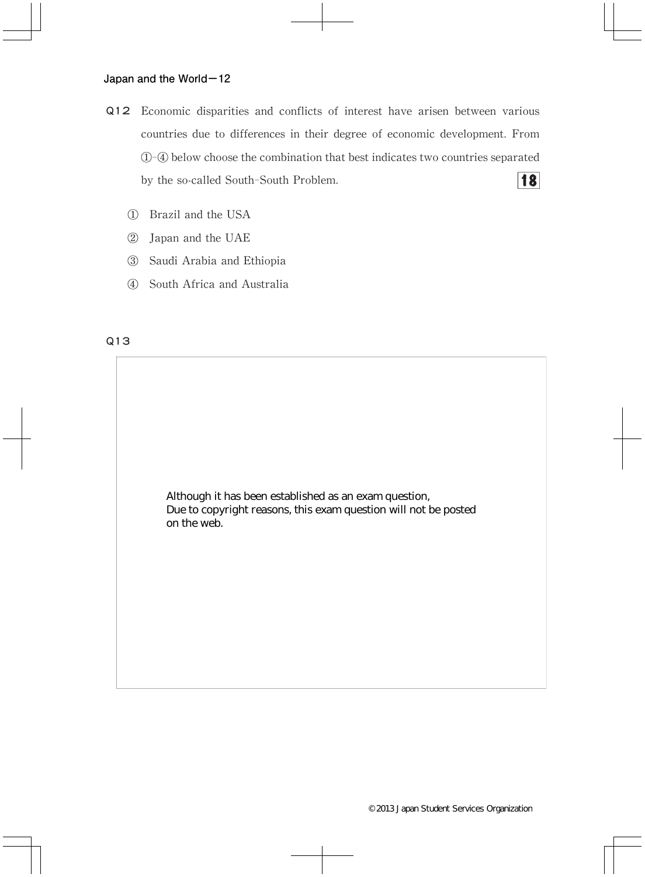- Q12 Economic disparities and conflicts of interest have arisen between various countries due to differences in their degree of economic development. From ①-④ below choose the combination that best indicates two countries separated **18** by the so-called South-South Problem.
	- ① Brazil and the USA
	- ② Japan and the UAE
	- ③ Saudi Arabia and Ethiopia
	- ④ South Africa and Australia

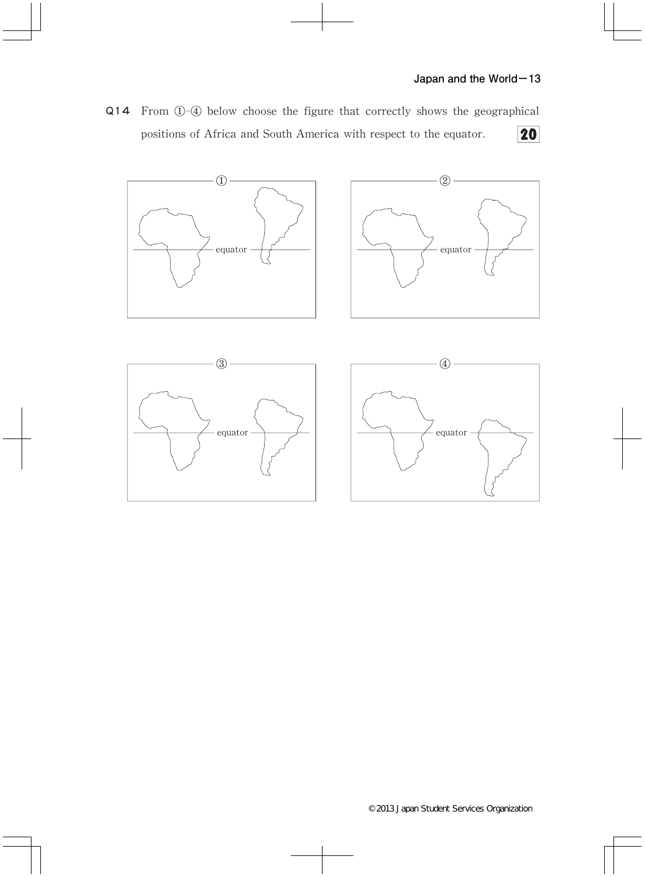Q14 From ①-④ below choose the figure that correctly shows the geographical positions of Africa and South America with respect to the equator. 20

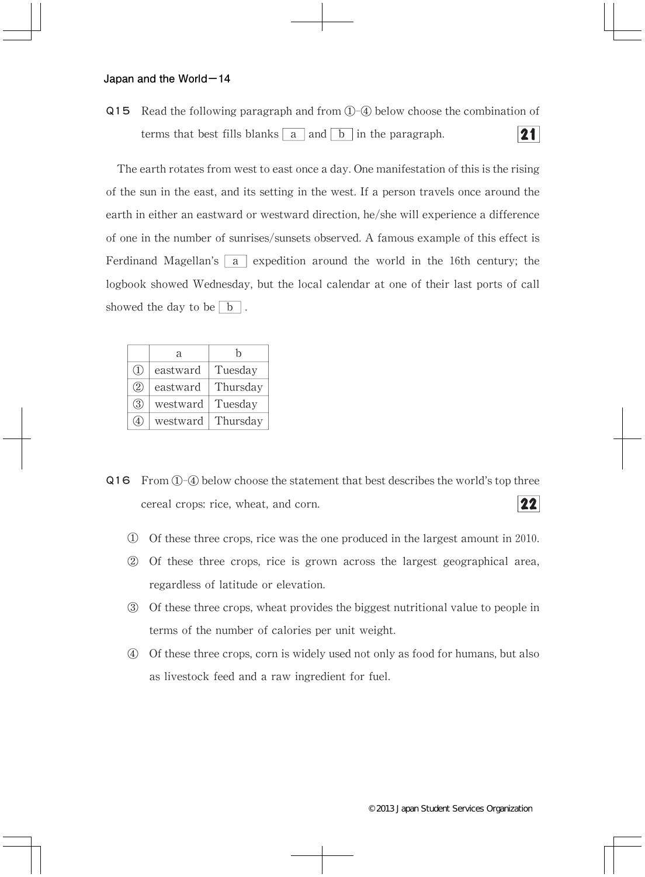Q15 Read the following paragraph and from ①-④ below choose the combination of terms that best fills blanks  $\boxed{a}$  and  $\boxed{b}$  in the paragraph.  $21$ 

The earth rotates from west to east once a day.One manifestation of this is the rising of the sun in the east,and its setting in the west.If a person travels once around the earth in either an eastward or westward direction, he/she will experience a difference of one in the number of sunrises/sunsets observed.A famous example of this effect is Ferdinand Magellan's  $\overline{a}$  expedition around the world in the 16th century; the logbook showed Wednesday, but the local calendar at one of their last ports of call showed the day to be  $\boxed{b}$ .

|               | a        | h        |
|---------------|----------|----------|
| $\mathcal{L}$ | eastward | Tuesday  |
| (2)           | eastward | Thursday |
| (3)           | westward | Tuesday  |
| 4             | westward | Thursday |

- Q16 From①-④ below choose the statement that best describes the world's top three  $22$ cereal crops: rice, wheat, and corn.
	- $\overline{1}$  Of these three crops, rice was the one produced in the largest amount in 2010.
	- $\Omega$  Of these three crops, rice is grown across the largest geographical area, regardless of latitude or elevation.
	- ③ Of these three crops,wheat provides the biggest nutritional value to people in terms of the number of calories per unit weight.
	- ④ Of these three crops,corn is widely used not only as food for humans,but also as livestock feed and a raw ingredient for fuel.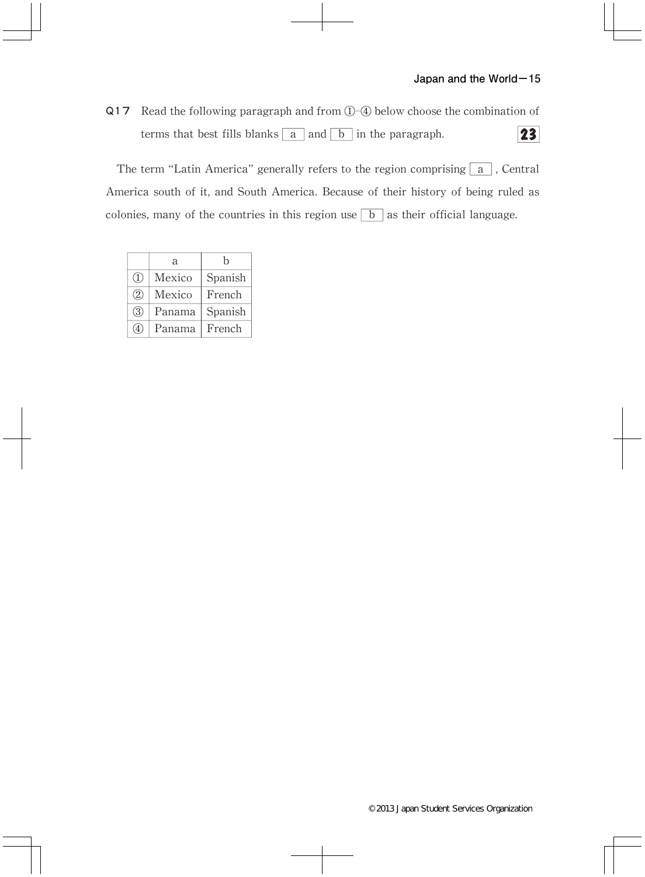Q17 Read the following paragraph and from ①-④ below choose the combination of 23 terms that best fills blanks  $\boxed{a}$  and  $\boxed{b}$  in the paragraph.

The term "Latin America" generally refers to the region comprising  $\boxed{a}$ , Central America south of it, and South America. Because of their history of being ruled as colonies, many of the countries in this region use  $\boxed{b}$  as their official language.

|     | a      | h       |
|-----|--------|---------|
| (1) | Mexico | Spanish |
| (2) | Mexico | French  |
| 3   | Panama | Spanish |
| (4) | Panama | French  |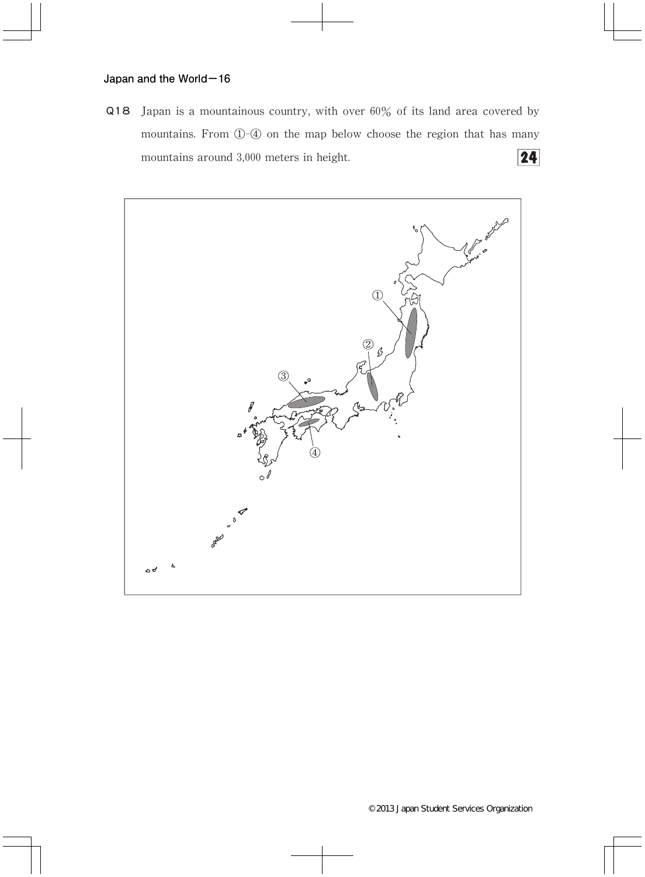Q18 Japan is a mountainous country, with over  $60\%$  of its land area covered by mountains.From ①-④ on the map below choose the region that has many  $\overline{24}$ mountains around 3,000 meters in height.

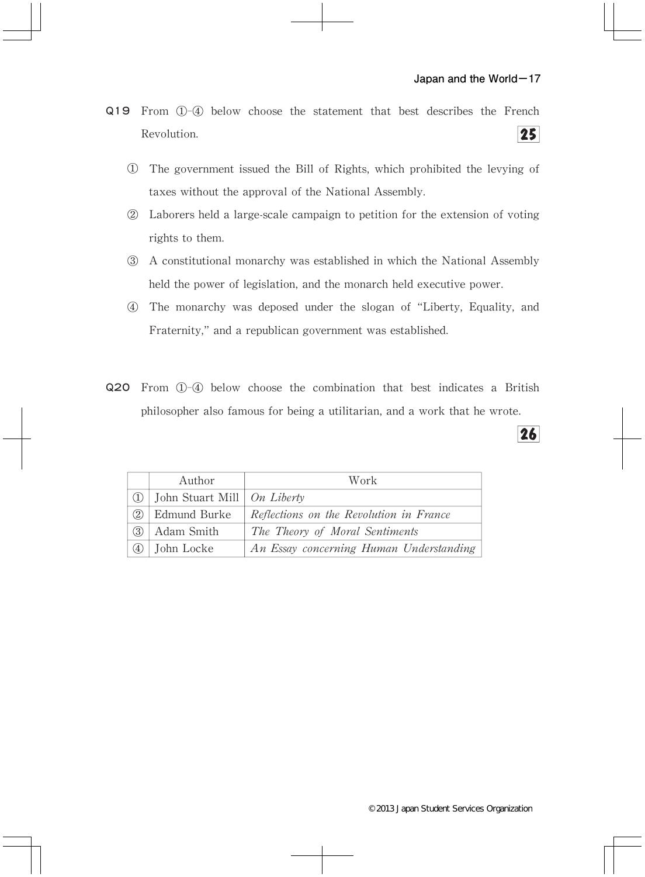$26$ 

- Q19 From ①-④ below choose the statement that best describes the French Revolution.  $25$ 
	- ① The government issued the Bill of Rights,which prohibited the levying of taxes without the approval of the National Assembly.
	- ② Laborers held a large-scale campaign to petition for the extension of voting rights to them.
	- ③ A constitutional monarchy was established in which the National Assembly held the power of legislation, and the monarch held executive power.
	- ④ The monarchy was deposed under the slogan of"Liberty,Equality,and Fraternity,"and a republican government was established.
- Q20 From ①-④ below choose the combination that best indicates a British philosopher also famous for being a utilitarian, and a work that he wrote.

|     | Author                        | Work                                    |
|-----|-------------------------------|-----------------------------------------|
| (1) | John Stuart Mill   On Liberty |                                         |
| 2)  | Edmund Burke                  | Reflections on the Revolution in France |
| (3) | Adam Smith                    | The Theory of Moral Sentiments          |
| (4) | John Locke                    | An Essay concerning Human Understanding |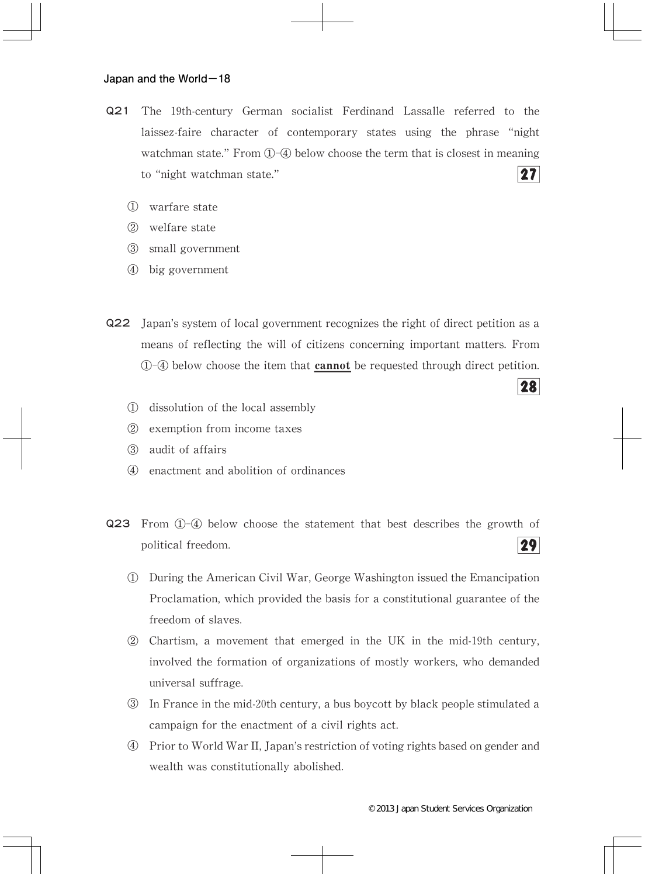- Q21 The 19th-century German socialist Ferdinand Lassalle referred to the laissez-faire character of contemporary states using the phrase "night watchman state." From  $(1)$ - $(4)$  below choose the term that is closest in meaning  $27$ to"night watchman state."
	- ① warfare state
	- ② welfare state
	- ③ small government
	- ④ big government
- Q22 Japan's system of local government recognizes the right of direct petition as a means of reflecting the will of citizens concerning important matters.From ①-④ below choose the item that cannot be requested through direct petition.
	- ① dissolution of the local assembly
	- ② exemption from income taxes
	- ③ audit of affairs
	- ④ enactment and abolition of ordinances
- Q23 From ①-④ below choose the statement that best describes the growth of 29 political freedom.
	- ① During the American Civil War,George Washington issued the Emancipation Proclamation, which provided the basis for a constitutional guarantee of the freedom of slaves.
	- ② Chartism,a movement that emerged in the UK in the mid-19th century, involved the formation of organizations of mostly workers, who demanded universal suffrage.
	- ③ In France in the mid-20th century,a bus boycott by black people stimulated a campaign for the enactment of a civil rights act.
	- ④ Prior to World War II,Japan's restriction of voting rights based on gender and wealth was constitutionally abolished.

28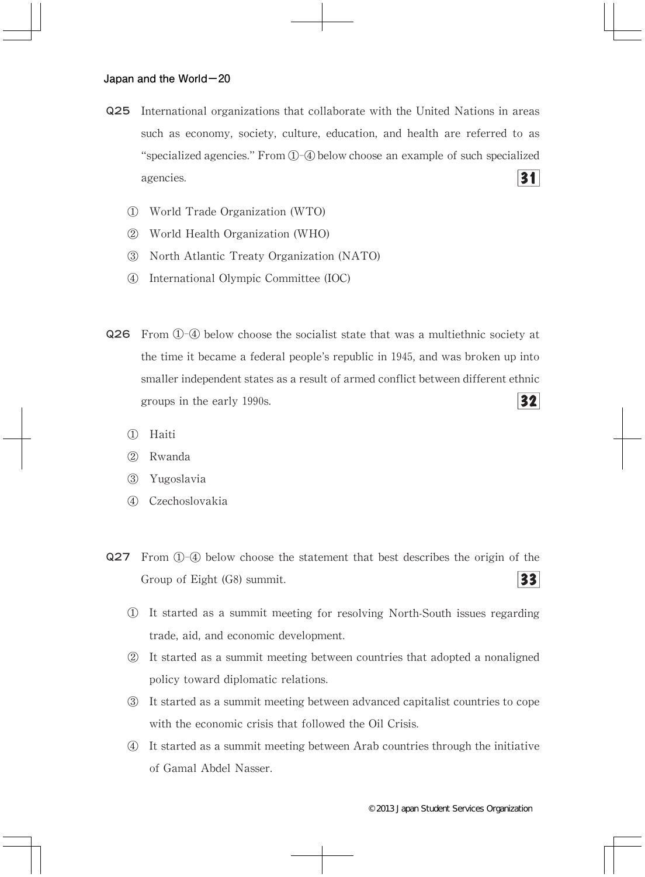- Q25 International organizations that collaborate with the United Nations in areas such as economy, society, culture, education, and health are referred to as "specialized agencies." From  $(1)$ - $(4)$  below choose an example of such specialized 31 agencies.
	- ① World Trade Organization(WTO)
	- ② World Health Organization(WHO)
	- ③ North Atlantic Treaty Organization(NATO)
	- ④ International Olympic Committee(IOC)
- Q26 From ①-④ below choose the socialist state that was a multiethnic society at the time it became a federal people's republic in 1945, and was broken up into smaller independent states as a result of armed conflict between different ethnic  $32$ groups in the early 1990s.
	- ① Haiti
	- ② Rwanda
	- ③ Yugoslavia
	- ④ Czechoslovakia
- Q27 From ①-④ below choose the statement that best describes the origin of the  $33$ Group of Eight (G8) summit.
	- ① It started as a summit meeting for resolving North-South issues regarding trade, aid, and economic development.
	- ② It started as a summit meeting between countries that adopted a nonaligned policy toward diplomatic relations.
	- ③ It started as a summit meeting between advanced capitalist countries to cope with the economic crisis that followed the Oil Crisis.
	- ④ It started as a summit meeting between Arab countries through the initiative of Gamal Abdel Nasser.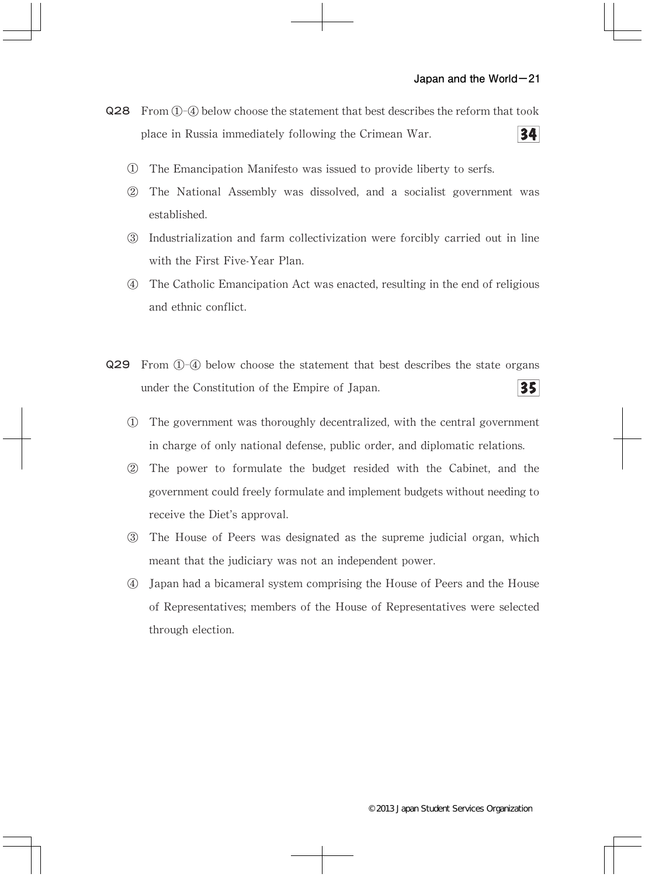- Q28 From  $(1)$ - $(4)$  below choose the statement that best describes the reform that took  $34$ place in Russia immediately following the Crimean War.
	- ① The Emancipation Manifesto was issued to provide liberty to serfs.
	- ② The National Assembly was dissolved,and a socialist government was established.
	- ③ Industrialization and farm collectivization were forcibly carried out in line with the First Five-Year Plan.
	- ④ The Catholic Emancipation Act was enacted,resulting in the end of religious and ethnic conflict.
- Q29 From ①-④ below choose the statement that best describes the state organs 35 under the Constitution of the Empire of Japan.
	- ① The government was thoroughly decentralized,with the central government in charge of only national defense, public order, and diplomatic relations.
	- ② The power to formulate the budget resided with the Cabinet,and the government could freely formulate and implement budgets without needing to receive the Diet's approval.
	- ③ The House of Peers was designated as the supreme judicial organ,which meant that the judiciary was not an independent power.
	- ④ Japan had a bicameral system comprising the House of Peers and the House of Representatives;members of the House of Representatives were selected through election.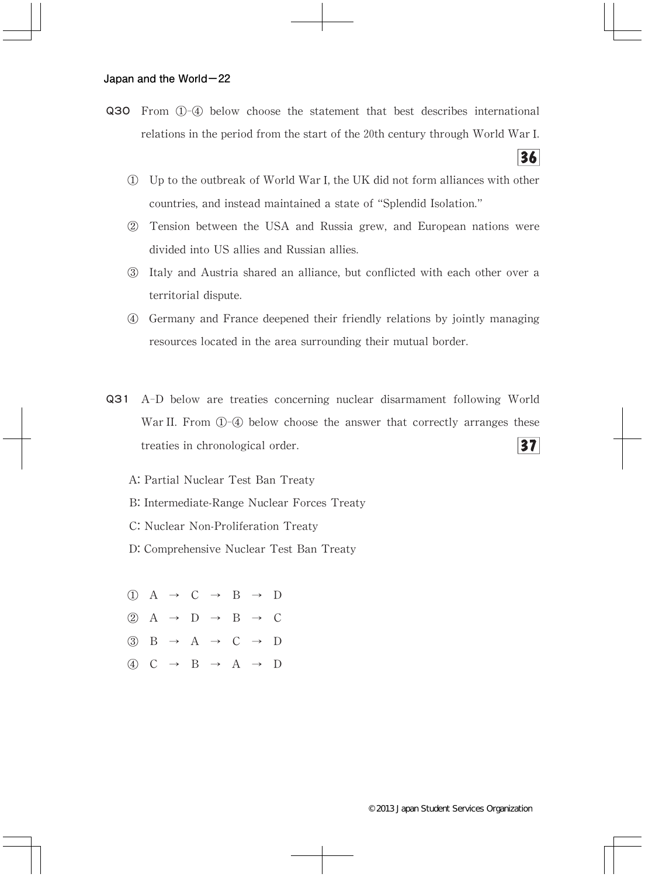- Q30 From ①-④ below choose the statement that best describes international relations in the period from the start of the 20th century through World WarⅠ.
	- ① Up to the outbreak of World WarⅠ,the UK did not form alliances with other countries, and instead maintained a state of "Splendid Isolation."

 $36<sup>l</sup>$ 

- ② Tension between the USA and Russia grew,and European nations were divided into US allies and Russian allies.
- ③ Italy and Austria shared an alliance,but conflicted with each other over a territorial dispute.
- ④ Germany and France deepened their friendly relations by jointly managing resources located in the area surrounding their mutual border.
- Q31 A-D below are treaties concerning nuclear disarmament following World War II. From  $\Phi$ -4 below choose the answer that correctly arranges these  $37<sup>l</sup>$ treaties in chronological order.

A: Partial Nuclear Test Ban Treaty

- B: Intermediate-Range Nuclear Forces Treaty
- C: Nuclear Non-Proliferation Treaty
- D: Comprehensive Nuclear Test Ban Treaty

 $(1)$  A  $\rightarrow$  C  $\rightarrow$  B  $\rightarrow$  D  $(2)$  A  $\rightarrow$  D  $\rightarrow$  B  $\rightarrow$  C  $\textcircled{3}$  B  $\rightarrow$  A  $\rightarrow$  C  $\rightarrow$  D ④ C → B → A → D